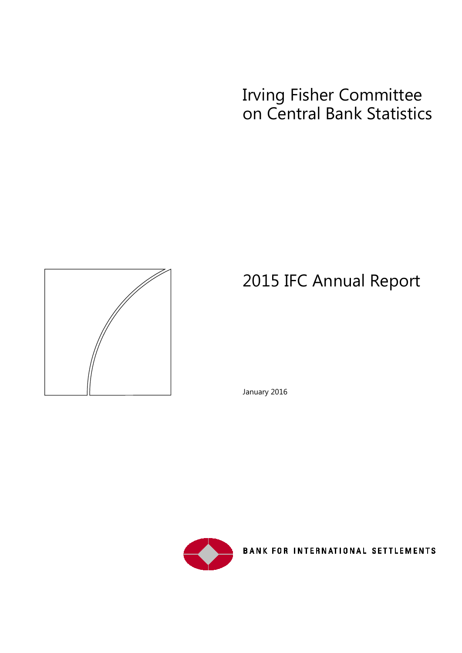# Irving Fisher Committee on Central Bank Statistics



# 2015 IFC Annual Report

January 2016



BANK FOR INTERNATIONAL SETTLEMENTS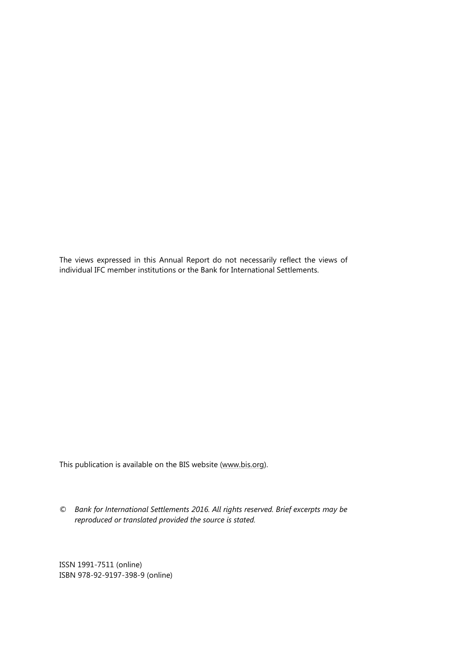The views expressed in this Annual Report do not necessarily reflect the views of individual IFC member institutions or the Bank for International Settlements.

This publication is available on the BIS website [\(www.bis.org\)](http://www.bis.org/).

*© Bank for International Settlements 2016. All rights reserved. Brief excerpts may be reproduced or translated provided the source is stated.*

ISSN 1991-7511 (online) ISBN 978-92-9197-398-9 (online)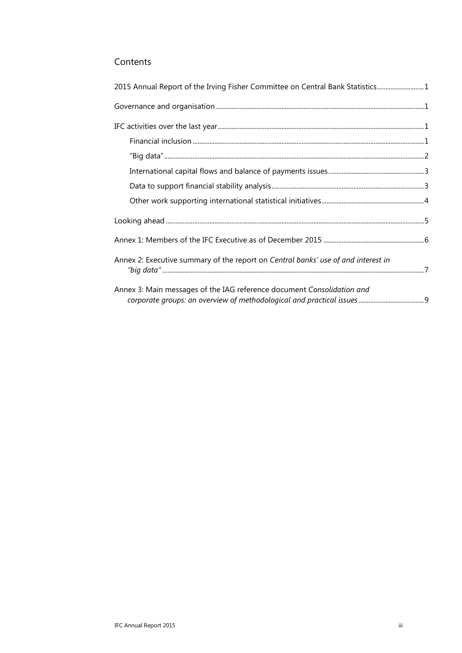### Contents

| 2015 Annual Report of the Irving Fisher Committee on Central Bank Statistics1     |  |
|-----------------------------------------------------------------------------------|--|
|                                                                                   |  |
|                                                                                   |  |
|                                                                                   |  |
|                                                                                   |  |
|                                                                                   |  |
|                                                                                   |  |
|                                                                                   |  |
|                                                                                   |  |
|                                                                                   |  |
| Annex 2: Executive summary of the report on Central banks' use of and interest in |  |
| Annex 3: Main messages of the IAG reference document Consolidation and            |  |
|                                                                                   |  |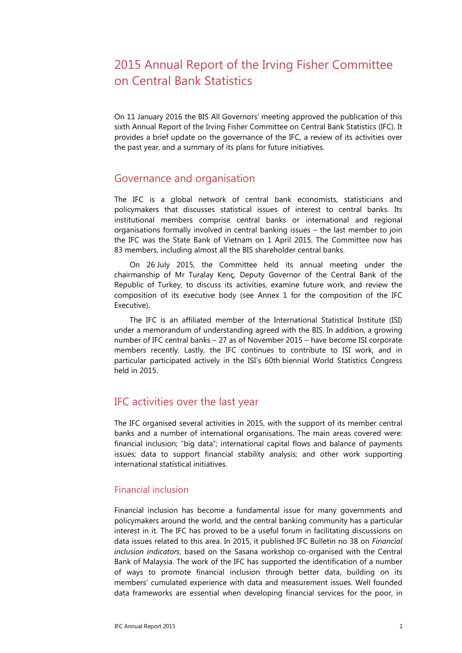# <span id="page-4-0"></span>2015 Annual Report of the Irving Fisher Committee on Central Bank Statistics

On 11 January 2016 the BIS All Governors' meeting approved the publication of this sixth Annual Report of the Irving Fisher Committee on Central Bank Statistics (IFC). It provides a brief update on the governance of the IFC, a review of its activities over the past year, and a summary of its plans for future initiatives.

### <span id="page-4-1"></span>Governance and organisation

The IFC is a global network of central bank economists, statisticians and policymakers that discusses statistical issues of interest to central banks. Its institutional members comprise central banks or international and regional organisations formally involved in central banking issues – the last member to join the IFC was the State Bank of Vietnam on 1 April 2015. The Committee now has 83 members, including almost all the BIS shareholder central banks.

On 26 July 2015, the Committee held its annual meeting under the chairmanship of Mr Turalay Kenç, Deputy Governor of the Central Bank of the Republic of Turkey, to discuss its activities, examine future work, and review the composition of its executive body (see Annex 1 for the composition of the IFC Executive).

The IFC is an affiliated member of the International Statistical Institute (ISI) under a memorandum of understanding agreed with the BIS. In addition, a growing number of IFC central banks – 27 as of November 2015 – have become ISI corporate members recently. Lastly, the IFC continues to contribute to ISI work, and in particular participated actively in the ISI's 60th biennial World Statistics Congress held in 2015.

## <span id="page-4-2"></span>IFC activities over the last year

The IFC organised several activities in 2015, with the support of its member central banks and a number of international organisations. The main areas covered were: financial inclusion; "big data"; international capital flows and balance of payments issues; data to support financial stability analysis; and other work supporting international statistical initiatives.

#### <span id="page-4-3"></span>Financial inclusion

Financial inclusion has become a fundamental issue for many governments and policymakers around the world, and the central banking community has a particular interest in it. The IFC has proved to be a useful forum in facilitating discussions on data issues related to this area. In 2015, it published IFC Bulletin no 38 on *Financial inclusion indicators*, based on the Sasana workshop co-organised with the Central Bank of Malaysia. The work of the IFC has supported the identification of a number of ways to promote financial inclusion through better data, building on its members' cumulated experience with data and measurement issues. Well founded data frameworks are essential when developing financial services for the poor, in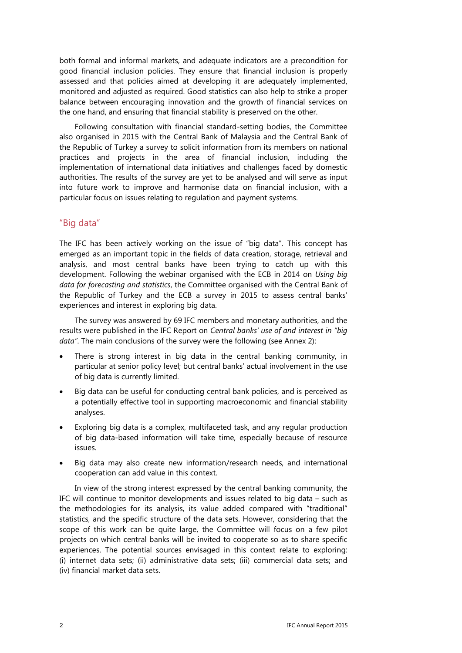both formal and informal markets, and adequate indicators are a precondition for good financial inclusion policies. They ensure that financial inclusion is properly assessed and that policies aimed at developing it are adequately implemented, monitored and adjusted as required. Good statistics can also help to strike a proper balance between encouraging innovation and the growth of financial services on the one hand, and ensuring that financial stability is preserved on the other.

Following consultation with financial standard-setting bodies, the Committee also organised in 2015 with the Central Bank of Malaysia and the Central Bank of the Republic of Turkey a survey to solicit information from its members on national practices and projects in the area of financial inclusion, including the implementation of international data initiatives and challenges faced by domestic authorities. The results of the survey are yet to be analysed and will serve as input into future work to improve and harmonise data on financial inclusion, with a particular focus on issues relating to regulation and payment systems.

### <span id="page-5-0"></span>"Big data"

The IFC has been actively working on the issue of "big data". This concept has emerged as an important topic in the fields of data creation, storage, retrieval and analysis, and most central banks have been trying to catch up with this development. Following the webinar organised with the ECB in 2014 on *Using big data for forecasting and statistics*, the Committee organised with the Central Bank of the Republic of Turkey and the ECB a survey in 2015 to assess central banks' experiences and interest in exploring big data.

The survey was answered by 69 IFC members and monetary authorities, and the results were published in the IFC Report on *Central banks' use of and interest in "big data"*. The main conclusions of the survey were the following (see Annex 2):

- There is strong interest in big data in the central banking community, in particular at senior policy level; but central banks' actual involvement in the use of big data is currently limited.
- Big data can be useful for conducting central bank policies, and is perceived as a potentially effective tool in supporting macroeconomic and financial stability analyses.
- Exploring big data is a complex, multifaceted task, and any regular production of big data-based information will take time, especially because of resource issues.
- Big data may also create new information/research needs, and international cooperation can add value in this context.

In view of the strong interest expressed by the central banking community, the IFC will continue to monitor developments and issues related to big data – such as the methodologies for its analysis, its value added compared with "traditional" statistics, and the specific structure of the data sets. However, considering that the scope of this work can be quite large, the Committee will focus on a few pilot projects on which central banks will be invited to cooperate so as to share specific experiences. The potential sources envisaged in this context relate to exploring: (i) internet data sets; (ii) administrative data sets; (iii) commercial data sets; and (iv) financial market data sets.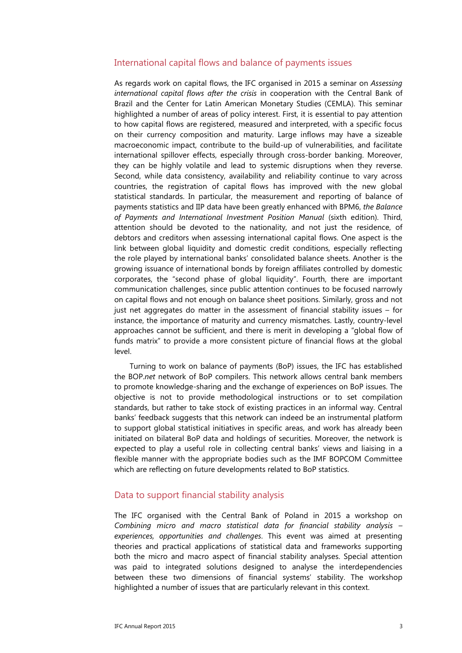#### <span id="page-6-0"></span>International capital flows and balance of payments issues

As regards work on capital flows, the IFC organised in 2015 a seminar on *Assessing international capital flows after the crisis* in cooperation with the Central Bank of Brazil and the Center for Latin American Monetary Studies (CEMLA). This seminar highlighted a number of areas of policy interest. First, it is essential to pay attention to how capital flows are registered, measured and interpreted, with a specific focus on their currency composition and maturity. Large inflows may have a sizeable macroeconomic impact, contribute to the build-up of vulnerabilities, and facilitate international spillover effects, especially through cross-border banking. Moreover, they can be highly volatile and lead to systemic disruptions when they reverse. Second, while data consistency, availability and reliability continue to vary across countries, the registration of capital flows has improved with the new global statistical standards. In particular, the measurement and reporting of balance of payments statistics and IIP data have been greatly enhanced with BPM6, *the Balance of Payments and International Investment Position Manual* (sixth edition). Third, attention should be devoted to the nationality, and not just the residence, of debtors and creditors when assessing international capital flows. One aspect is the link between global liquidity and domestic credit conditions, especially reflecting the role played by international banks' consolidated balance sheets. Another is the growing issuance of international bonds by foreign affiliates controlled by domestic corporates, the "second phase of global liquidity". Fourth, there are important communication challenges, since public attention continues to be focused narrowly on capital flows and not enough on balance sheet positions. Similarly, gross and not just net aggregates do matter in the assessment of financial stability issues – for instance, the importance of maturity and currency mismatches. Lastly, country-level approaches cannot be sufficient, and there is merit in developing a "global flow of funds matrix" to provide a more consistent picture of financial flows at the global level.

Turning to work on balance of payments (BoP) issues, the IFC has established the BOP.*net* network of BoP compilers. This network allows central bank members to promote knowledge-sharing and the exchange of experiences on BoP issues. The objective is not to provide methodological instructions or to set compilation standards, but rather to take stock of existing practices in an informal way. Central banks' feedback suggests that this network can indeed be an instrumental platform to support global statistical initiatives in specific areas, and work has already been initiated on bilateral BoP data and holdings of securities. Moreover, the network is expected to play a useful role in collecting central banks' views and liaising in a flexible manner with the appropriate bodies such as the IMF BOPCOM Committee which are reflecting on future developments related to BoP statistics.

#### <span id="page-6-1"></span>Data to support financial stability analysis

The IFC organised with the Central Bank of Poland in 2015 a workshop on *Combining micro and macro statistical data for financial stability analysis – experiences, opportunities and challenges*. This event was aimed at presenting theories and practical applications of statistical data and frameworks supporting both the micro and macro aspect of financial stability analyses. Special attention was paid to integrated solutions designed to analyse the interdependencies between these two dimensions of financial systems' stability. The workshop highlighted a number of issues that are particularly relevant in this context.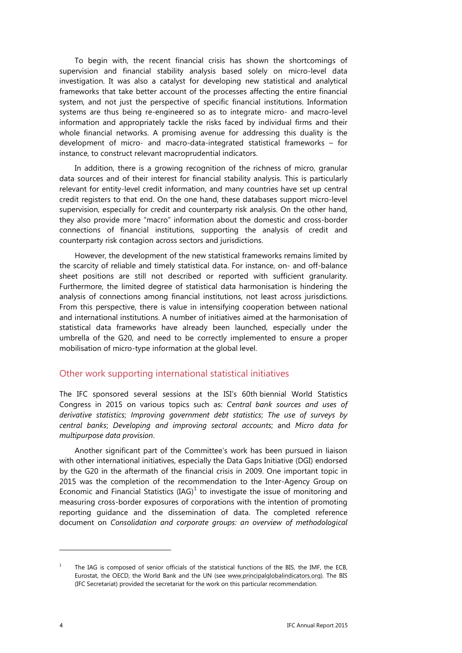To begin with, the recent financial crisis has shown the shortcomings of supervision and financial stability analysis based solely on micro-level data investigation. It was also a catalyst for developing new statistical and analytical frameworks that take better account of the processes affecting the entire financial system, and not just the perspective of specific financial institutions. Information systems are thus being re-engineered so as to integrate micro- and macro-level information and appropriately tackle the risks faced by individual firms and their whole financial networks. A promising avenue for addressing this duality is the development of micro- and macro-data-integrated statistical frameworks – for instance, to construct relevant macroprudential indicators.

In addition, there is a growing recognition of the richness of micro, granular data sources and of their interest for financial stability analysis. This is particularly relevant for entity-level credit information, and many countries have set up central credit registers to that end. On the one hand, these databases support micro-level supervision, especially for credit and counterparty risk analysis. On the other hand, they also provide more "macro" information about the domestic and cross-border connections of financial institutions, supporting the analysis of credit and counterparty risk contagion across sectors and jurisdictions.

However, the development of the new statistical frameworks remains limited by the scarcity of reliable and timely statistical data. For instance, on- and off-balance sheet positions are still not described or reported with sufficient granularity. Furthermore, the limited degree of statistical data harmonisation is hindering the analysis of connections among financial institutions, not least across jurisdictions. From this perspective, there is value in intensifying cooperation between national and international institutions. A number of initiatives aimed at the harmonisation of statistical data frameworks have already been launched, especially under the umbrella of the G20, and need to be correctly implemented to ensure a proper mobilisation of micro-type information at the global level.

#### <span id="page-7-0"></span>Other work supporting international statistical initiatives

The IFC sponsored several sessions at the ISI's 60th biennial World Statistics Congress in 2015 on various topics such as: *Central bank sources and uses of derivative statistics*; *Improving government debt statistics*; *The use of surveys by central banks*; *Developing and improving sectoral accounts*; and *Micro data for multipurpose data provision*.

Another significant part of the Committee's work has been pursued in liaison with other international initiatives, especially the Data Gaps Initiative (DGI) endorsed by the G20 in the aftermath of the financial crisis in 2009. One important topic in 2015 was the completion of the recommendation to the Inter-Agency Group on Economic and Financial Statistics  $(IG)^1$  $(IG)^1$  to investigate the issue of monitoring and measuring cross-border exposures of corporations with the intention of promoting reporting guidance and the dissemination of data. The completed reference document on *Consolidation and corporate groups: an overview of methodological* 

-

<span id="page-7-1"></span>The IAG is composed of senior officials of the statistical functions of the BIS, the IMF, the ECB, Eurostat, the OECD, the World Bank and the UN (see [www.principalglobalindicators.org\).](http://www.principalglobalindicators.org/) The BIS (IFC Secretariat) provided the secretariat for the work on this particular recommendation.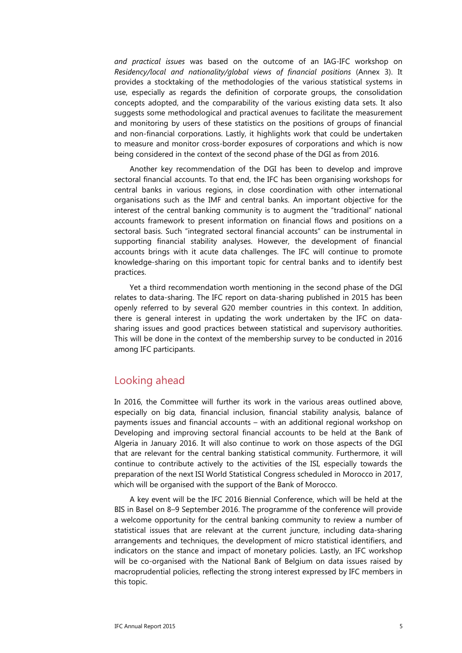*and practical issues* was based on the outcome of an IAG-IFC workshop on *Residency/local and nationality/global views of financial positions* (Annex 3). It provides a stocktaking of the methodologies of the various statistical systems in use, especially as regards the definition of corporate groups, the consolidation concepts adopted, and the comparability of the various existing data sets. It also suggests some methodological and practical avenues to facilitate the measurement and monitoring by users of these statistics on the positions of groups of financial and non-financial corporations. Lastly, it highlights work that could be undertaken to measure and monitor cross-border exposures of corporations and which is now being considered in the context of the second phase of the DGI as from 2016.

Another key recommendation of the DGI has been to develop and improve sectoral financial accounts. To that end, the IFC has been organising workshops for central banks in various regions, in close coordination with other international organisations such as the IMF and central banks. An important objective for the interest of the central banking community is to augment the "traditional" national accounts framework to present information on financial flows and positions on a sectoral basis. Such "integrated sectoral financial accounts" can be instrumental in supporting financial stability analyses. However, the development of financial accounts brings with it acute data challenges. The IFC will continue to promote knowledge-sharing on this important topic for central banks and to identify best practices.

Yet a third recommendation worth mentioning in the second phase of the DGI relates to data-sharing. The IFC report on data-sharing published in 2015 has been openly referred to by several G20 member countries in this context. In addition, there is general interest in updating the work undertaken by the IFC on datasharing issues and good practices between statistical and supervisory authorities. This will be done in the context of the membership survey to be conducted in 2016 among IFC participants.

### <span id="page-8-0"></span>Looking ahead

In 2016, the Committee will further its work in the various areas outlined above, especially on big data, financial inclusion, financial stability analysis, balance of payments issues and financial accounts – with an additional regional workshop on Developing and improving sectoral financial accounts to be held at the Bank of Algeria in January 2016. It will also continue to work on those aspects of the DGI that are relevant for the central banking statistical community. Furthermore, it will continue to contribute actively to the activities of the ISI, especially towards the preparation of the next ISI World Statistical Congress scheduled in Morocco in 2017, which will be organised with the support of the Bank of Morocco.

A key event will be the IFC 2016 Biennial Conference, which will be held at the BIS in Basel on 8–9 September 2016. The programme of the conference will provide a welcome opportunity for the central banking community to review a number of statistical issues that are relevant at the current juncture, including data-sharing arrangements and techniques, the development of micro statistical identifiers, and indicators on the stance and impact of monetary policies. Lastly, an IFC workshop will be co-organised with the National Bank of Belgium on data issues raised by macroprudential policies, reflecting the strong interest expressed by IFC members in this topic.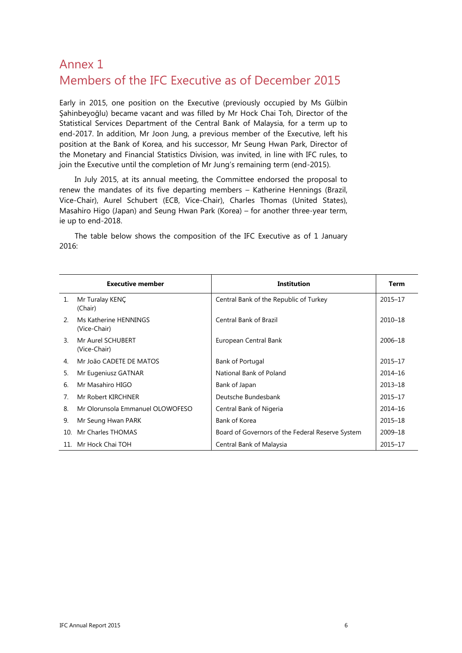# <span id="page-9-0"></span>Annex 1 Members of the IFC Executive as of December 2015

Early in 2015, one position on the Executive (previously occupied by Ms Gülbin Şahinbeyoğlu) became vacant and was filled by Mr Hock Chai Toh, Director of the Statistical Services Department of the Central Bank of Malaysia, for a term up to end-2017. In addition, Mr Joon Jung, a previous member of the Executive, left his position at the Bank of Korea, and his successor, Mr Seung Hwan Park, Director of the Monetary and Financial Statistics Division, was invited, in line with IFC rules, to join the Executive until the completion of Mr Jung's remaining term (end-2015).

In July 2015, at its annual meeting, the Committee endorsed the proposal to renew the mandates of its five departing members – Katherine Hennings (Brazil, Vice-Chair), Aurel Schubert (ECB, Vice-Chair), Charles Thomas (United States), Masahiro Higo (Japan) and Seung Hwan Park (Korea) – for another three-year term, ie up to end-2018.

The table below shows the composition of the IFC Executive as of 1 January 2016:

|                             | <b>Executive member</b>               | Institution                                      | Term        |
|-----------------------------|---------------------------------------|--------------------------------------------------|-------------|
| $\mathbf{1}$ .              | Mr Turalay KENÇ<br>(Chair)            | Central Bank of the Republic of Turkey           | 2015-17     |
| $\mathcal{P}_{\mathcal{C}}$ | Ms Katherine HENNINGS<br>(Vice-Chair) | Central Bank of Brazil                           | 2010-18     |
| 3.                          | Mr Aurel SCHUBERT<br>(Vice-Chair)     | European Central Bank                            | 2006-18     |
| 4.                          | Mr João CADETE DE MATOS               | Bank of Portugal                                 | 2015-17     |
| 5.                          | Mr Eugeniusz GATNAR                   | National Bank of Poland                          | $2014 - 16$ |
| 6.                          | Mr Masahiro HIGO                      | Bank of Japan                                    | $2013 - 18$ |
| 7.                          | Mr Robert KIRCHNER                    | Deutsche Bundesbank                              | 2015-17     |
| 8                           | Mr Olorunsola Emmanuel OLOWOFESO      | Central Bank of Nigeria                          | $2014 - 16$ |
| 9.                          | Mr Seung Hwan PARK                    | Bank of Korea                                    | $2015 - 18$ |
| 10                          | Mr Charles THOMAS                     | Board of Governors of the Federal Reserve System | 2009-18     |
| 11 <sub>1</sub>             | Mr Hock Chai TOH                      | Central Bank of Malaysia                         | 2015-17     |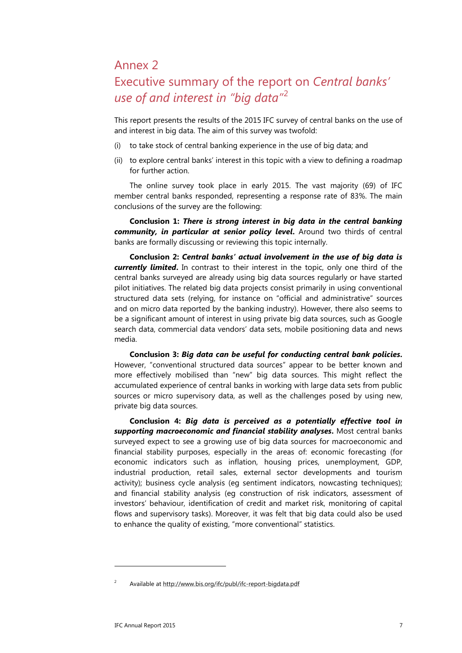# <span id="page-10-0"></span>Annex 2

# Executive summary of the report on *Central banks' use of and interest in "big data"*[2](#page-10-1)

This report presents the results of the 2015 IFC survey of central banks on the use of and interest in big data. The aim of this survey was twofold:

- (i) to take stock of central banking experience in the use of big data; and
- (ii) to explore central banks' interest in this topic with a view to defining a roadmap for further action.

The online survey took place in early 2015. The vast majority (69) of IFC member central banks responded, representing a response rate of 83%. The main conclusions of the survey are the following:

**Conclusion 1:** *There is strong interest in big data in the central banking community, in particular at senior policy level***.** Around two thirds of central banks are formally discussing or reviewing this topic internally.

**Conclusion 2:** *Central banks' actual involvement in the use of big data is currently limited***.** In contrast to their interest in the topic, only one third of the central banks surveyed are already using big data sources regularly or have started pilot initiatives. The related big data projects consist primarily in using conventional structured data sets (relying, for instance on "official and administrative" sources and on micro data reported by the banking industry). However, there also seems to be a significant amount of interest in using private big data sources, such as Google search data, commercial data vendors' data sets, mobile positioning data and news media.

**Conclusion 3:** *Big data can be useful for conducting central bank policies***.** However, "conventional structured data sources" appear to be better known and more effectively mobilised than "new" big data sources. This might reflect the accumulated experience of central banks in working with large data sets from public sources or micro supervisory data, as well as the challenges posed by using new, private big data sources.

**Conclusion 4:** *Big data is perceived as a potentially effective tool in supporting macroeconomic and financial stability analyses***.** Most central banks surveyed expect to see a growing use of big data sources for macroeconomic and financial stability purposes, especially in the areas of: economic forecasting (for economic indicators such as inflation, housing prices, unemployment, GDP, industrial production, retail sales, external sector developments and tourism activity); business cycle analysis (eg sentiment indicators, nowcasting techniques); and financial stability analysis (eg construction of risk indicators, assessment of investors' behaviour, identification of credit and market risk, monitoring of capital flows and supervisory tasks). Moreover, it was felt that big data could also be used to enhance the quality of existing, "more conventional" statistics.

-

<span id="page-10-1"></span><sup>2</sup> Available at<http://www.bis.org/ifc/publ/ifc-report-bigdata.pdf>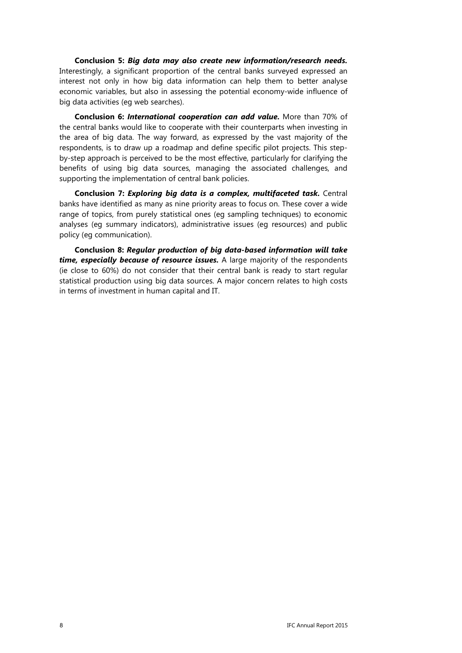**Conclusion 5:** *Big data may also create new information/research needs.* Interestingly, a significant proportion of the central banks surveyed expressed an interest not only in how big data information can help them to better analyse economic variables, but also in assessing the potential economy-wide influence of big data activities (eg web searches).

**Conclusion 6:** *International cooperation can add value.* More than 70% of the central banks would like to cooperate with their counterparts when investing in the area of big data. The way forward, as expressed by the vast majority of the respondents, is to draw up a roadmap and define specific pilot projects. This stepby-step approach is perceived to be the most effective, particularly for clarifying the benefits of using big data sources, managing the associated challenges, and supporting the implementation of central bank policies.

**Conclusion 7:** *Exploring big data is a complex, multifaceted task.* Central banks have identified as many as nine priority areas to focus on. These cover a wide range of topics, from purely statistical ones (eg sampling techniques) to economic analyses (eg summary indicators), administrative issues (eg resources) and public policy (eg communication).

**Conclusion 8:** *Regular production of big data-based information will take time, especially because of resource issues.* A large majority of the respondents (ie close to 60%) do not consider that their central bank is ready to start regular statistical production using big data sources. A major concern relates to high costs in terms of investment in human capital and IT.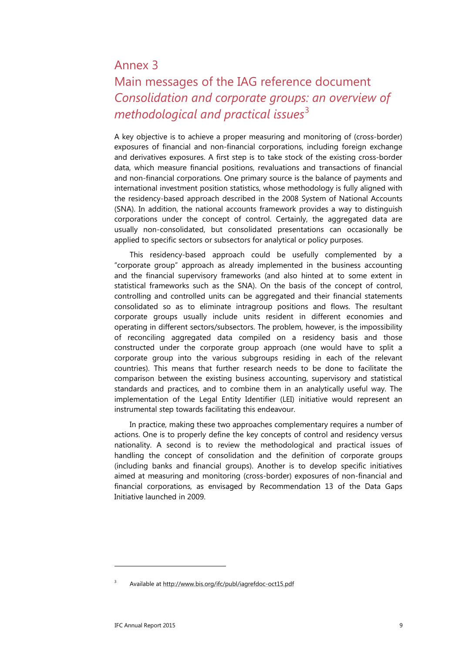## <span id="page-12-0"></span>Annex 3

# Main messages of the IAG reference document *Consolidation and corporate groups: an overview of methodological and practical issues*<sup>[3](#page-12-1)</sup>

A key objective is to achieve a proper measuring and monitoring of (cross-border) exposures of financial and non-financial corporations, including foreign exchange and derivatives exposures. A first step is to take stock of the existing cross-border data, which measure financial positions, revaluations and transactions of financial and non-financial corporations. One primary source is the balance of payments and international investment position statistics, whose methodology is fully aligned with the residency-based approach described in the 2008 System of National Accounts (SNA). In addition, the national accounts framework provides a way to distinguish corporations under the concept of control. Certainly, the aggregated data are usually non-consolidated, but consolidated presentations can occasionally be applied to specific sectors or subsectors for analytical or policy purposes.

This residency-based approach could be usefully complemented by a "corporate group" approach as already implemented in the business accounting and the financial supervisory frameworks (and also hinted at to some extent in statistical frameworks such as the SNA). On the basis of the concept of control, controlling and controlled units can be aggregated and their financial statements consolidated so as to eliminate intragroup positions and flows. The resultant corporate groups usually include units resident in different economies and operating in different sectors/subsectors. The problem, however, is the impossibility of reconciling aggregated data compiled on a residency basis and those constructed under the corporate group approach (one would have to split a corporate group into the various subgroups residing in each of the relevant countries). This means that further research needs to be done to facilitate the comparison between the existing business accounting, supervisory and statistical standards and practices, and to combine them in an analytically useful way. The implementation of the Legal Entity Identifier (LEI) initiative would represent an instrumental step towards facilitating this endeavour.

In practice, making these two approaches complementary requires a number of actions. One is to properly define the key concepts of control and residency versus nationality. A second is to review the methodological and practical issues of handling the concept of consolidation and the definition of corporate groups (including banks and financial groups). Another is to develop specific initiatives aimed at measuring and monitoring (cross-border) exposures of non-financial and financial corporations, as envisaged by Recommendation 13 of the Data Gaps Initiative launched in 2009.

-

<span id="page-12-1"></span>Available at<http://www.bis.org/ifc/publ/iagrefdoc-oct15.pdf>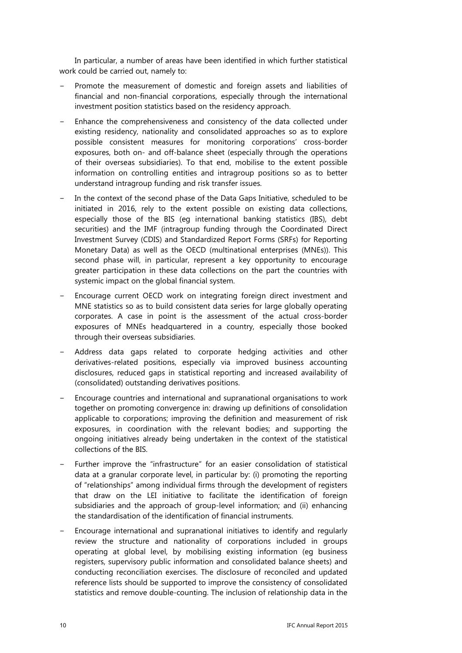In particular, a number of areas have been identified in which further statistical work could be carried out, namely to:

- Promote the measurement of domestic and foreign assets and liabilities of financial and non-financial corporations, especially through the international investment position statistics based on the residency approach.
- Enhance the comprehensiveness and consistency of the data collected under existing residency, nationality and consolidated approaches so as to explore possible consistent measures for monitoring corporations' cross-border exposures, both on- and off-balance sheet (especially through the operations of their overseas subsidiaries). To that end, mobilise to the extent possible information on controlling entities and intragroup positions so as to better understand intragroup funding and risk transfer issues.
- In the context of the second phase of the Data Gaps Initiative, scheduled to be initiated in 2016, rely to the extent possible on existing data collections, especially those of the BIS (eg international banking statistics (IBS), debt securities) and the IMF (intragroup funding through the Coordinated Direct Investment Survey (CDIS) and Standardized Report Forms (SRFs) for Reporting Monetary Data) as well as the OECD (multinational enterprises (MNEs)). This second phase will, in particular, represent a key opportunity to encourage greater participation in these data collections on the part the countries with systemic impact on the global financial system.
- Encourage current OECD work on integrating foreign direct investment and MNE statistics so as to build consistent data series for large globally operating corporates. A case in point is the assessment of the actual cross-border exposures of MNEs headquartered in a country, especially those booked through their overseas subsidiaries.
- Address data gaps related to corporate hedging activities and other derivatives-related positions, especially via improved business accounting disclosures, reduced gaps in statistical reporting and increased availability of (consolidated) outstanding derivatives positions.
- Encourage countries and international and supranational organisations to work together on promoting convergence in: drawing up definitions of consolidation applicable to corporations; improving the definition and measurement of risk exposures, in coordination with the relevant bodies; and supporting the ongoing initiatives already being undertaken in the context of the statistical collections of the BIS.
- Further improve the "infrastructure" for an easier consolidation of statistical data at a granular corporate level, in particular by: (i) promoting the reporting of "relationships" among individual firms through the development of registers that draw on the LEI initiative to facilitate the identification of foreign subsidiaries and the approach of group-level information; and (ii) enhancing the standardisation of the identification of financial instruments.
- Encourage international and supranational initiatives to identify and regularly review the structure and nationality of corporations included in groups operating at global level, by mobilising existing information (eg business registers, supervisory public information and consolidated balance sheets) and conducting reconciliation exercises. The disclosure of reconciled and updated reference lists should be supported to improve the consistency of consolidated statistics and remove double-counting. The inclusion of relationship data in the